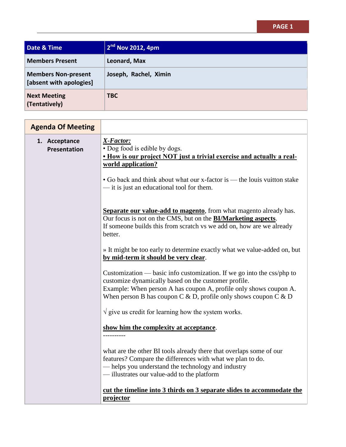## **PAGE 1**

| Date & Time                                           | 2 <sup>nd</sup> Nov 2012, 4pm |
|-------------------------------------------------------|-------------------------------|
| <b>Members Present</b>                                | Leonard, Max                  |
| <b>Members Non-present</b><br>[absent with apologies] | Joseph, Rachel, Ximin         |
| <b>Next Meeting</b><br>(Tentatively)                  | <b>TBC</b>                    |

| <b>Agenda Of Meeting</b>      |                                                                                                                                                                                                                                                                        |
|-------------------------------|------------------------------------------------------------------------------------------------------------------------------------------------------------------------------------------------------------------------------------------------------------------------|
| 1. Acceptance<br>Presentation | X-Factor:<br>• Dog food is edible by dogs.<br>. How is our project NOT just a trivial exercise and actually a real-<br>world application?                                                                                                                              |
|                               | • Go back and think about what our x-factor is — the louis vuitton stake<br>- it is just an educational tool for them.                                                                                                                                                 |
|                               | Separate our value-add to magento, from what magento already has.<br>Our focus is not on the CMS, but on the <b>BI/Marketing aspects</b> .<br>If someone builds this from scratch vs we add on, how are we already<br>better.                                          |
|                               | » It might be too early to determine exactly what we value-added on, but<br>by mid-term it should be very clear.                                                                                                                                                       |
|                               | Customization — basic info customization. If we go into the css/php to<br>customize dynamically based on the customer profile.<br>Example: When person A has coupon A, profile only shows coupon A.<br>When person B has coupon C & D, profile only shows coupon C & D |
|                               | $\sqrt{ }$ give us credit for learning how the system works.                                                                                                                                                                                                           |
|                               | show him the complexity at acceptance.                                                                                                                                                                                                                                 |
|                               | what are the other BI tools already there that overlaps some of our<br>features? Compare the differences with what we plan to do.<br>- helps you understand the technology and industry<br>-illustrates our value-add to the platform                                  |
|                               | cut the timeline into 3 thirds on 3 separate slides to accommodate the                                                                                                                                                                                                 |
|                               | projector                                                                                                                                                                                                                                                              |